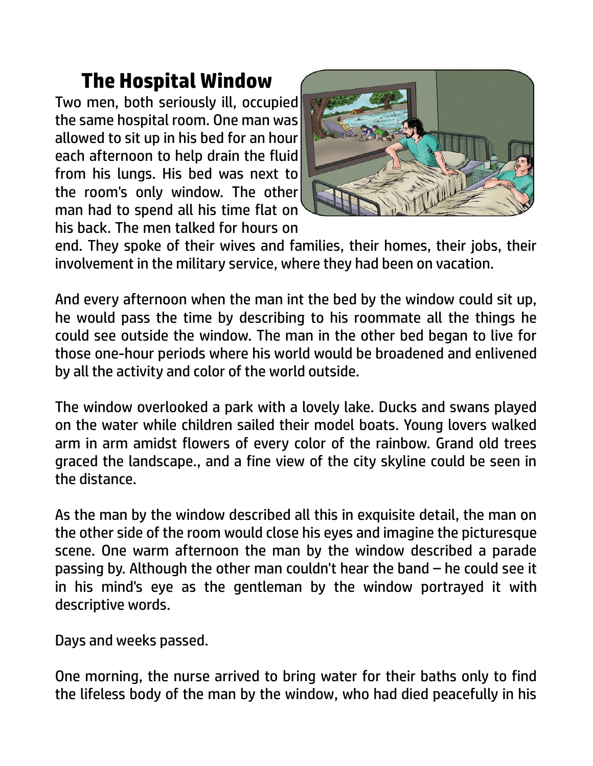## **The Hospital Window**

Two men, both seriously ill, occupied the same hospital room. One man was allowed to sit up in his bed for an hour each afternoon to help drain the fluid from his lungs. His bed was next to the room's only window. The other man had to spend all his time flat on his back. The men talked for hours on



end. They spoke of their wives and families, their homes, their jobs, their involvement in the military service, where they had been on vacation.

And every afternoon when the man int the bed by the window could sit up, he would pass the time by describing to his roommate all the things he could see outside the window. The man in the other bed began to live for those one-hour periods where his world would be broadened and enlivened by all the activity and color of the world outside.

The window overlooked a park with a lovely lake. Ducks and swans played on the water while children sailed their model boats. Young lovers walked arm in arm amidst flowers of every color of the rainbow. Grand old trees graced the landscape., and a fine view of the city skyline could be seen in the distance.

As the man by the window described all this in exquisite detail, the man on the other side of the room would close his eyes and imagine the picturesque scene. One warm afternoon the man by the window described a parade passing by. Although the other man couldn't hear the band – he could see it in his mind's eye as the gentleman by the window portrayed it with descriptive words.

Days and weeks passed.

One morning, the nurse arrived to bring water for their baths only to find the lifeless body of the man by the window, who had died peacefully in his